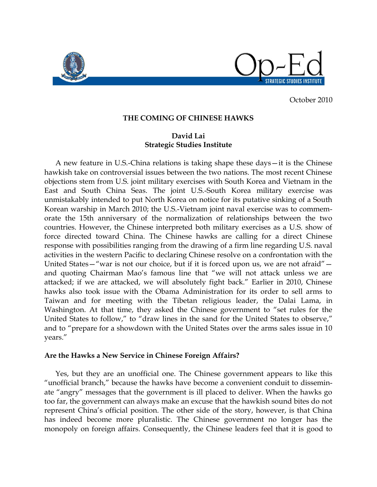

October 2010

## **THE COMING OF CHINESE HAWKS**

## **David Lai Strategic Studies Institute**

A new feature in U.S.-China relations is taking shape these days—it is the Chinese hawkish take on controversial issues between the two nations. The most recent Chinese objections stem from U.S. joint military exercises with South Korea and Vietnam in the East and South China Seas. The joint U.S.-South Korea military exercise was unmistakably intended to put North Korea on notice for its putative sinking of a South Korean warship in March 2010; the U.S.-Vietnam joint naval exercise was to commemorate the 15th anniversary of the normalization of relationships between the two countries. However, the Chinese interpreted both military exercises as a U.S. show of force directed toward China. The Chinese hawks are calling for a direct Chinese response with possibilities ranging from the drawing of a firm line regarding U.S. naval activities in the western Pacific to declaring Chinese resolve on a confrontation with the United States—"war is not our choice, but if it is forced upon us, we are not afraid" and quoting Chairman Mao's famous line that "we will not attack unless we are attacked; if we are attacked, we will absolutely fight back." Earlier in 2010, Chinese hawks also took issue with the Obama Administration for its order to sell arms to Taiwan and for meeting with the Tibetan religious leader, the Dalai Lama, in Washington. At that time, they asked the Chinese government to "set rules for the United States to follow," to "draw lines in the sand for the United States to observe," and to "prepare for a showdown with the United States over the arms sales issue in 10 years."

## **Are the Hawks a New Service in Chinese Foreign Affairs?**

Yes, but they are an unofficial one. The Chinese government appears to like this "unofficial branch," because the hawks have become a convenient conduit to disseminate "angry" messages that the government is ill placed to deliver. When the hawks go too far, the government can always make an excuse that the hawkish sound bites do not represent China's official position. The other side of the story, however, is that China has indeed become more pluralistic. The Chinese government no longer has the monopoly on foreign affairs. Consequently, the Chinese leaders feel that it is good to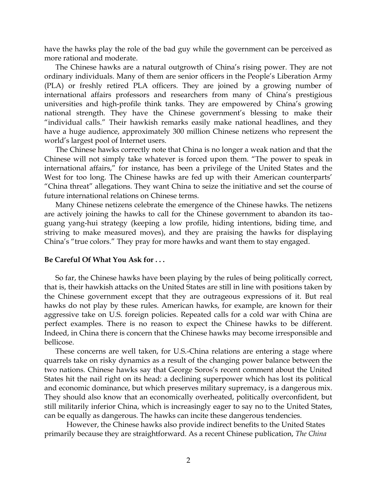have the hawks play the role of the bad guy while the government can be perceived as more rational and moderate.

The Chinese hawks are a natural outgrowth of China's rising power. They are not ordinary individuals. Many of them are senior officers in the People's Liberation Army (PLA) or freshly retired PLA officers. They are joined by a growing number of international affairs professors and researchers from many of China's prestigious universities and high-profile think tanks. They are empowered by China's growing national strength. They have the Chinese government's blessing to make their "individual calls." Their hawkish remarks easily make national headlines, and they have a huge audience, approximately 300 million Chinese netizens who represent the world's largest pool of Internet users.

The Chinese hawks correctly note that China is no longer a weak nation and that the Chinese will not simply take whatever is forced upon them. "The power to speak in international affairs," for instance, has been a privilege of the United States and the West for too long. The Chinese hawks are fed up with their American counterparts' "China threat" allegations. They want China to seize the initiative and set the course of future international relations on Chinese terms.

Many Chinese netizens celebrate the emergence of the Chinese hawks. The netizens are actively joining the hawks to call for the Chinese government to abandon its taoguang yang-hui strategy (keeping a low profile, hiding intentions, biding time, and striving to make measured moves), and they are praising the hawks for displaying China's "true colors." They pray for more hawks and want them to stay engaged.

## **Be Careful Of What You Ask for . . .**

So far, the Chinese hawks have been playing by the rules of being politically correct, that is, their hawkish attacks on the United States are still in line with positions taken by the Chinese government except that they are outrageous expressions of it. But real hawks do not play by these rules. American hawks, for example, are known for their aggressive take on U.S. foreign policies. Repeated calls for a cold war with China are perfect examples. There is no reason to expect the Chinese hawks to be different. Indeed, in China there is concern that the Chinese hawks may become irresponsible and bellicose.

These concerns are well taken, for U.S.-China relations are entering a stage where quarrels take on risky dynamics as a result of the changing power balance between the two nations. Chinese hawks say that George Soros's recent comment about the United States hit the nail right on its head: a declining superpower which has lost its political and economic dominance, but which preserves military supremacy, is a dangerous mix. They should also know that an economically overheated, politically overconfident, but still militarily inferior China, which is increasingly eager to say no to the United States, can be equally as dangerous. The hawks can incite these dangerous tendencies.

However, the Chinese hawks also provide indirect benefits to the United States primarily because they are straightforward. As a recent Chinese publication, *The China*